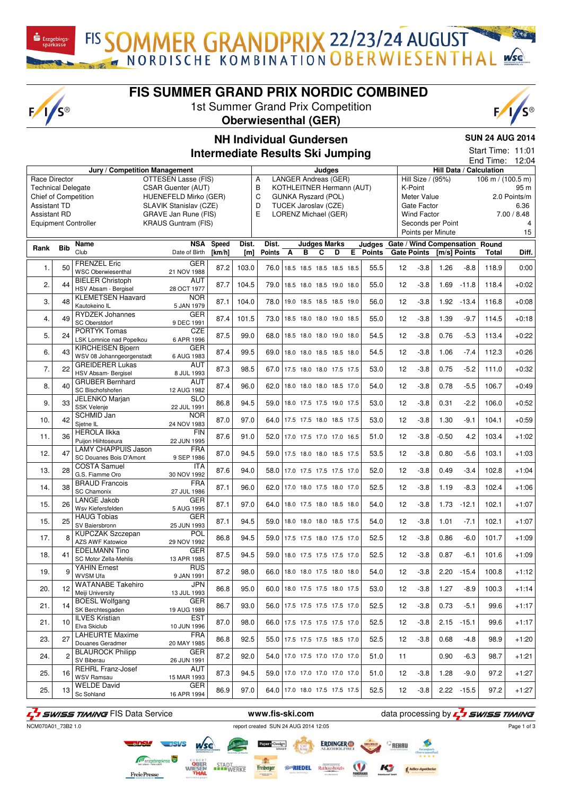$F/I/S^{\circledcirc}$ 

**FIS SUMMER GRAND PRIX NORDIC COMBINED**

FIS SOMMER GRANDPRIX 22/23/24 AUGUST

1st Summer Grand Prix Competition **Oberwiesenthal (GER)**



## **NH Individual Gundersen Intermediate Results Ski Jumping**

**SUN 24 AUG 2014**

|                           |                |                                                 |                            |           |       | <b>Intermediate Results Ski Jumping</b> |   |                            |                                 |                                                          |                   |                    |                   |               | End Time:               | Start Time: 11:01<br>12:04 |
|---------------------------|----------------|-------------------------------------------------|----------------------------|-----------|-------|-----------------------------------------|---|----------------------------|---------------------------------|----------------------------------------------------------|-------------------|--------------------|-------------------|---------------|-------------------------|----------------------------|
|                           |                | Jury / Competition Management                   |                            |           |       |                                         |   | Judges                     |                                 |                                                          |                   |                    |                   |               | Hill Data / Calculation |                            |
| Race Director             |                |                                                 | OTTESEN Lasse (FIS)        |           |       | Α                                       |   |                            | LANGER Andreas (GER)            |                                                          |                   | Hill Size / (95%)  |                   |               | 106 m / $(100.5 m)$     |                            |
| <b>Technical Delegate</b> |                |                                                 | <b>CSAR Guenter (AUT)</b>  |           |       | B                                       |   |                            | KOTHLEITNER Hermann (AUT)       |                                                          |                   | K-Point            |                   |               |                         | 95 m                       |
| Chief of Competition      |                |                                                 | HUENEFELD Mirko (GER)      |           |       | C                                       |   | <b>GUNKA Ryszard (POL)</b> |                                 |                                                          |                   | Meter Value        |                   |               |                         | 2.0 Points/m               |
| <b>Assistant TD</b>       |                |                                                 | SLAVIK Stanislav (CZE)     |           |       | D                                       |   | TUCEK Jaroslav (CZE)       |                                 |                                                          |                   | Gate Factor        |                   |               |                         | 6.36                       |
| <b>Assistant RD</b>       |                |                                                 | GRAVE Jan Rune (FIS)       |           |       | E                                       |   |                            | LORENZ Michael (GER)            |                                                          |                   | <b>Wind Factor</b> |                   |               |                         | 7.00 / 8.48                |
|                           |                | <b>Equipment Controller</b>                     | <b>KRAUS Guntram (FIS)</b> |           |       |                                         |   |                            |                                 |                                                          |                   |                    | Seconds per Point |               |                         | 4                          |
|                           |                |                                                 |                            |           |       |                                         |   |                            |                                 |                                                          |                   |                    | Points per Minute |               |                         | 15                         |
|                           |                |                                                 |                            | NSA Speed | Dist. | Dist.                                   |   |                            | <b>Judges Marks</b>             |                                                          |                   |                    |                   |               |                         |                            |
| Rank                      | <b>Bib</b>     | Name<br>Club                                    | Date of Birth              | [km/h]    | [ml]  | Points A                                | в | C                          | D                               | Judges Gate / Wind Compensation Round<br><b>E</b> Points |                   | <b>Gate Points</b> | [m/s] Points      |               | <b>Total</b>            | Diff.                      |
|                           |                |                                                 |                            |           |       |                                         |   |                            |                                 |                                                          |                   |                    |                   |               |                         |                            |
| 1.                        | 50             | <b>FRENZEL Eric</b>                             | <b>GER</b>                 | 87.2      | 103.0 | 76.0                                    |   |                            | 18.5 18.5 18.5 18.5 18.5        | 55.5                                                     | 12                | $-3.8$             | 1.26              | $-8.8$        | 118.9                   | 0:00                       |
|                           |                | <b>WSC Oberwiesenthal</b>                       | 21 NOV 1988                |           |       |                                         |   |                            |                                 |                                                          |                   |                    |                   |               |                         |                            |
| 2.                        | 44             | <b>BIELER Christoph</b><br>HSV Absam - Bergisel | <b>AUT</b><br>28 OCT 1977  | 87.7      | 104.5 | 79.0                                    |   |                            | 18.5 18.0 18.5 19.0 18.0        | 55.0                                                     | 12                | $-3.8$             | 1.69              | $-11.8$       | 118.4                   | $+0:02$                    |
|                           |                | <b>KLEMETSEN Haavard</b>                        | <b>NOR</b>                 |           |       |                                         |   |                            |                                 |                                                          |                   |                    |                   |               |                         |                            |
| 3.                        | 48             | Kautokeino IL                                   | 5 JAN 1979                 | 87.1      | 104.0 | 78.0                                    |   |                            | 19.0 18.5 18.5 18.5 19.0        | 56.0                                                     | 12                | $-3.8$             | 1.92              | $-13.4$       | 116.8                   | $+0:08$                    |
|                           |                | <b>RYDZEK Johannes</b>                          | <b>GER</b>                 |           |       |                                         |   |                            |                                 |                                                          |                   |                    |                   |               |                         |                            |
| $\overline{4}$ .          | 49             | SC Oberstdorf                                   | 9 DEC 1991                 | 87.4      | 101.5 | 73.0                                    |   |                            | 18.5 18.0 18.0 19.0 18.5        | 55.0                                                     | 12                | $-3.8$             | 1.39              | $-9.7$        | 114.5                   | $+0:18$                    |
|                           |                | <b>PORTYK Tomas</b>                             | CZE                        |           |       |                                         |   |                            |                                 |                                                          |                   |                    |                   |               |                         |                            |
| 5.                        | 24             | LSK Lomnice nad Popelkou                        | 6 APR 1996                 | 87.5      | 99.0  | 68.0                                    |   |                            | 18.5 18.0 18.0 19.0 18.0        | 54.5                                                     | $12 \overline{ }$ | $-3.8$             | 0.76              | $-5.3$        | 113.4                   | $+0:22$                    |
| 6.                        | 43             | <b>KIRCHEISEN Bjoern</b>                        | <b>GER</b>                 | 87.4      | 99.5  | 69.0                                    |   |                            | 18.0 18.0 18.5 18.5 18.0        | 54.5                                                     | 12                | $-3.8$             | 1.06              | $-7.4$        | 112.3                   | $+0:26$                    |
|                           |                | WSV 08 Johanngeorgenstadt                       | 6 AUG 1983                 |           |       |                                         |   |                            |                                 |                                                          |                   |                    |                   |               |                         |                            |
| 7.                        | 22             | <b>GREIDERER Lukas</b>                          | AUT                        | 87.3      | 98.5  |                                         |   |                            | 67.0 17.5 18.0 18.0 17.5 17.5   | 53.0                                                     | 12                | $-3.8$             | 0.75              | $-5.2$        | 111.0                   | $+0:32$                    |
|                           |                | HSV Absam- Bergisel                             | 8 JUL 1993                 |           |       |                                         |   |                            |                                 |                                                          |                   |                    |                   |               |                         |                            |
| 8.                        | 40             | <b>GRUBER Bernhard</b>                          | AUT                        | 87.4      | 96.0  | 62.0                                    |   |                            | 18.0 18.0 18.0 18.5 17.0        | 54.0                                                     | 12                | $-3.8$             | 0.78              | $-5.5$        | 106.7                   | $+0:49$                    |
|                           |                | SC Bischofshofen                                | 12 AUG 1982                |           |       |                                         |   |                            |                                 |                                                          |                   |                    |                   |               |                         |                            |
| 9.                        | 33             | JELENKO Marjan<br><b>SSK Velenje</b>            | <b>SLO</b><br>22 JUL 1991  | 86.8      | 94.5  | 59.0                                    |   |                            | 18.0 17.5 17.5 19.0 17.5        | 53.0                                                     | 12                | $-3.8$             | 0.31              | $-2.2$        | 106.0                   | $+0:52$                    |
|                           |                | <b>SCHMID Jan</b>                               | <b>NOR</b>                 |           |       |                                         |   |                            |                                 |                                                          |                   |                    |                   |               |                         |                            |
| 10.                       | 42             | Sjetne IL                                       | 24 NOV 1983                | 87.0      | 97.0  | 64.0                                    |   |                            | 17.5 17.5 18.0 18.5 17.5        | 53.0                                                     | 12                | $-3.8$             | 1.30              | $-9.1$        | 104.1                   | $+0:59$                    |
|                           |                | <b>HEROLA Ilkka</b>                             | <b>FIN</b>                 |           |       |                                         |   |                            |                                 |                                                          |                   |                    |                   |               |                         |                            |
| 11.                       | 36             | Puijon Hiihtoseura                              | 22 JUN 1995                | 87.6      | 91.0  | 52.0                                    |   |                            | 17.0 17.5 17.0 17.0 16.5        | 51.0                                                     | 12                | $-3.8$             | $-0.50$           | 4.2           | 103.4                   | $+1:02$                    |
| 12.                       | 47             | <b>LAMY CHAPPUIS Jason</b>                      | <b>FRA</b>                 | 87.0      | 94.5  | 59.0                                    |   |                            | 17.5 18.0 18.0 18.5 17.5        | 53.5                                                     | 12                | $-3.8$             | 0.80              | $-5.6$        |                         | $+1:03$                    |
|                           |                | SC Douanes Bois D'Amont                         | 9 SEP 1986                 |           |       |                                         |   |                            |                                 |                                                          |                   |                    |                   |               | 103.1                   |                            |
| 13.                       | 28             | <b>COSTA Samuel</b>                             | ITA                        | 87.6      | 94.0  | 58.0                                    |   |                            | 17.0 17.5 17.5 17.5 17.0        | 52.0                                                     | 12                | $-3.8$             | 0.49              | $-3.4$        | 102.8                   | $+1:04$                    |
|                           |                | G.S. Fiamme Oro                                 | 30 NOV 1992                |           |       |                                         |   |                            |                                 |                                                          |                   |                    |                   |               |                         |                            |
| 14.                       | 38             | <b>BRAUD Francois</b>                           | <b>FRA</b>                 | 87.1      | 96.0  | 62.0                                    |   |                            | 17.0 18.0 17.5 18.0 17.0        | 52.5                                                     | 12                | $-3.8$             | 1.19              | $-8.3$        | 102.4                   | $+1:06$                    |
|                           |                | <b>SC Chamonix</b><br><b>LANGE Jakob</b>        | 27 JUL 1986<br><b>GER</b>  |           |       |                                         |   |                            |                                 |                                                          |                   |                    |                   |               |                         |                            |
| 15.                       | 26             | Wsv Kiefersfelden                               | 5 AUG 1995                 | 87.1      | 97.0  | 64.0                                    |   |                            | 18.0 17.5 18.0 18.5 18.0        | 54.0                                                     | 12                | $-3.8$             | 1.73              | $-12.1$       | 102.1                   | $+1:07$                    |
|                           |                | <b>HAUG Tobias</b>                              | <b>GER</b>                 |           |       |                                         |   |                            |                                 |                                                          |                   |                    |                   |               |                         |                            |
| 15.                       | 25             | SV Baiersbronn                                  | 25 JUN 1993                | 87.1      | 94.5  | 59.0                                    |   |                            | 18.0 18.0 18.0 18.5 17.5        | 54.0                                                     | 12                | $-3.8$             | 1.01              | $-7.1$        | 102.1                   | $+1:07$                    |
|                           |                | <b>KUPCZAK Szczepan</b>                         | POL                        |           |       |                                         |   |                            |                                 |                                                          |                   |                    |                   |               |                         |                            |
| 17.                       | 8              | AZS AWF Katowice                                | 29 NOV 1992                | 86.8      | 94.5  | 59.0                                    |   |                            | 17.5 17.5 18.0 17.5 17.0        | 52.5                                                     | 12                | $-3.8$             | 0.86              | $-6.0$        | 101.7                   | $+1:09$                    |
| 18.                       | 41             | <b>EDELMANN Tino</b>                            | <b>GER</b>                 | 87.5      | 94.5  | 59.0                                    |   |                            | 18.0 17.5 17.5 17.5 17.0        | 52.5                                                     | 12                | $-3.8$             | 0.87              | $-6.1$        | 101.6                   | $+1:09$                    |
|                           |                | SC Motor Zella-Mehlis                           | 13 APR 1985                |           |       |                                         |   |                            |                                 |                                                          |                   |                    |                   |               |                         |                            |
| 19.                       | 9              | <b>YAHIN Ernest</b>                             | <b>RUS</b>                 | 87.2      | 98.0  |                                         |   |                            | 66.0 18.0 18.0 17.5 18.0 18.0   | 54.0                                                     | 12                | $-3.8$             |                   | 2.20 -15.4    | 100.8                   | $+1:12$                    |
|                           |                | WVSM Ufa                                        | 9 JAN 1991                 |           |       |                                         |   |                            |                                 |                                                          |                   |                    |                   |               |                         |                            |
| 20.                       | 12             | <b>WATANABE Takehiro</b>                        | <b>JPN</b>                 | 86.8      | 95.0  |                                         |   |                            | 60.0 18.0 17.5 17.5 18.0 17.5   | 53.0                                                     | 12                | $-3.8$             | 1.27              | -8.9          | 100.3                   | $+1:14$                    |
|                           |                | Meiji University<br><b>BOESL Wolfgang</b>       | 13 JUL 1993<br><b>GER</b>  |           |       |                                         |   |                            |                                 |                                                          |                   |                    |                   |               |                         |                            |
| 21.                       | 14             | SK Berchtesgaden                                | 19 AUG 1989                | 86.7      | 93.0  |                                         |   |                            | 56.0   17.5 17.5 17.5 17.5 17.0 | 52.5                                                     | 12                | $-3.8$             | 0.73              | $-5.1$        | 99.6                    | $+1:17$                    |
|                           |                | <b>ILVES Kristian</b>                           | <b>EST</b>                 |           |       |                                         |   |                            |                                 |                                                          |                   |                    |                   |               |                         |                            |
| 21.                       | 10             | Elva Skiclub                                    | 10 JUN 1996                | 87.0      | 98.0  |                                         |   |                            | 66.0 17.5 17.5 17.5 17.5 17.0   | 52.5                                                     | 12                | $-3.8$             |                   | $2.15 - 15.1$ | 99.6                    | $+1:17$                    |
|                           |                | <b>LAHEURTE Maxime</b>                          | <b>FRA</b>                 |           | 92.5  |                                         |   |                            |                                 |                                                          |                   |                    |                   |               |                         |                            |
| 23.                       | 27             | Douanes Geradmer                                | 20 MAY 1985                | 86.8      |       | 55.0                                    |   |                            | 17.5 17.5 17.5 18.5 17.0        | 52.5                                                     | 12                | $-3.8$             | 0.68              | $-4.8$        | 98.9                    | $+1:20$                    |
| 24.                       | $\overline{2}$ | <b>BLAUROCK Philipp</b>                         | GER                        | 87.2      | 92.0  | 54.0                                    |   |                            | 17.0 17.5 17.0 17.0 17.0        | 51.0                                                     | 11                |                    | 0.90              | $-6.3$        | 98.7                    | $+1:21$                    |
|                           |                | SV Biberau                                      | 26 JUN 1991                |           |       |                                         |   |                            |                                 |                                                          |                   |                    |                   |               |                         |                            |
| 25.                       | 16             | <b>REHRL Franz-Josef</b>                        | AUT                        | 87.3      | 94.5  | 59.0                                    |   |                            | 17.0 17.0 17.0 17.0 17.0        | 51.0                                                     | 12                | $-3.8$             | 1.28              | $-9.0$        | 97.2                    | $+1:27$                    |
|                           |                | <b>WSV Ramsau</b><br><b>WELDE David</b>         | 15 MAR 1993<br><b>GER</b>  |           |       |                                         |   |                            |                                 |                                                          |                   |                    |                   |               |                         |                            |
| 25.                       | 13             | Sc Sohland                                      | 16 APR 1994                | 86.9      | 97.0  |                                         |   |                            | 64.0 17.0 18.0 17.5 17.5 17.5   | 52.5                                                     | 12                | $-3.8$             |                   | $2.22 - 15.5$ | 97.2                    | $+1:27$                    |
|                           |                |                                                 |                            |           |       |                                         |   |                            |                                 |                                                          |                   |                    |                   |               |                         |                            |

**FreiePresse** 

NCM070A01 73B2 1.0

F<sub>1</sub> SWISS TIMING FIS Data Service **www.fis-ski.com** data processing by F<sub>1</sub> SWISS TIMING

Freiberger<br>Freiberger

**STADT**<br>WERKE

**ERDINGER** 

Rathaushe

*Ro*RIEDEL

Page 1 of 3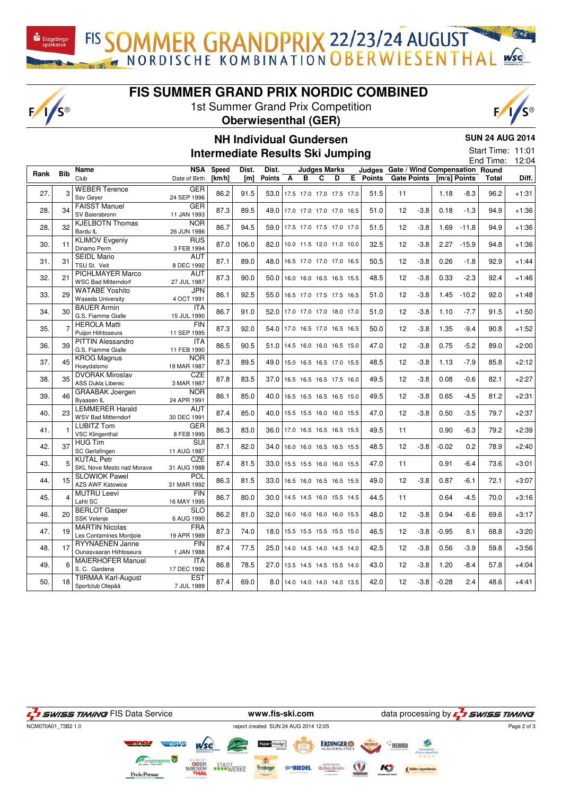FIS SOMMER GRANDPRIX 22/23/24 AUGUST

## **FIS SUMMER GRAND PRIX NORDIC COMBINED**

1st Summer Grand Prix Competition

 $F/I/S^{\circledcirc}$ 





## **NH Individual Gundersen**

**SUN 24 AUG 2014**

**Intermediate Results Ski Jumping**

|  | -------------     |
|--|-------------------|
|  | Start Time: 11:01 |

|      |                |                                                      |                                        |        |       |                               |                              |   |                          |   |                                       |                   |                    |              |               | End Time: | 12:04   |
|------|----------------|------------------------------------------------------|----------------------------------------|--------|-------|-------------------------------|------------------------------|---|--------------------------|---|---------------------------------------|-------------------|--------------------|--------------|---------------|-----------|---------|
| Rank | <b>Bib</b>     | Name                                                 | <b>NSA</b>                             | Speed  | Dist. | Dist.                         |                              |   | <b>Judges Marks</b>      |   | Judges Gate / Wind Compensation Round |                   |                    |              |               |           |         |
|      |                | Club                                                 | Date of Birth                          | [km/h] | [m]   | <b>Points</b>                 | A                            | в | C                        | D | E Points                              |                   | <b>Gate Points</b> | [m/s] Points |               | Total     | Diff.   |
| 27.  | 3              | <b>WEBER Terence</b><br>Ssv Geyer                    | GER<br>24 SEP 1996                     | 86.2   | 91.5  | 53.0 17.5 17.0 17.0 17.5 17.0 |                              |   |                          |   | 51.5                                  | 11                |                    | 1.18         | $-8.3$        | 96.2      | $+1:31$ |
| 28.  | 34             | <b>FAISST Manuel</b><br>SV Baiersbronn               | <b>GER</b><br>11 JAN 1993              | 87.3   | 89.5  | 49.0 17.0 17.0 17.0 17.0 16.5 |                              |   |                          |   | 51.0                                  | 12                | $-3.8$             | 0.18         | $-1.3$        | 94.9      | $+1:36$ |
| 28.  | 32             | <b>KJELBOTN Thomas</b><br>Bardu IL                   | <b>NOR</b><br>26 JUN 1986              | 86.7   | 94.5  | 59.0 17.5 17.0 17.5 17.0 17.0 |                              |   |                          |   | 51.5                                  | 12                | $-3.8$             | 1.69         | $-11.8$       | 94.9      | $+1:36$ |
| 30.  | 11             | <b>KLIMOV Evgeniy</b><br>Dinamo Perm                 | <b>RUS</b><br>3 FEB 1994               | 87.0   | 106.0 | 82.0 10.0 11.5 12.0 11.0 10.0 |                              |   |                          |   | 32.5                                  | 12                | $-3.8$             |              | $2.27 - 15.9$ | 94.8      | $+1:36$ |
| 31.  | 31             | <b>SEIDL Mario</b><br>TSU St. Veit                   | <b>AUT</b><br>8 DEC 1992               | 87.1   | 89.0  | 48.0 16.5 17.0 17.0 17.0 16.5 |                              |   |                          |   | 50.5                                  | 12                | $-3.8$             | 0.26         | $-1.8$        | 92.9      | $+1:44$ |
| 32.  | 21             | PICHLMAYER Marco<br><b>WSC Bad Mitterndorf</b>       | <b>AUT</b><br>27 JUL 1987              | 87.3   | 90.0  | 50.0                          |                              |   | 16.0 16.0 16.5 16.5 15.5 |   | 48.5                                  | 12                | $-3.8$             | 0.33         | $-2.3$        | 92.4      | $+1:46$ |
| 33.  | 29             | <b>WATABE Yoshito</b><br><b>Waseda University</b>    | <b>JPN</b><br>4 OCT 1991               | 86.1   | 92.5  | 55.0                          | 16.5 17.0 17.5 17.5 16.5     |   |                          |   | 51.0                                  | 12                | $-3.8$             | 1.45         | $-10.2$       | 92.0      | $+1:48$ |
| 34.  | 30             | <b>BAUER Armin</b><br>G.S. Fiamme Gialle             | <b>ITA</b><br>15 JUL 1990              | 86.7   | 91.0  | 52.0 17.0 17.0 17.0 18.0 17.0 |                              |   |                          |   | 51.0                                  | 12                | $-3.8$             | 1.10         | $-7.7$        | 91.5      | $+1:50$ |
| 35.  | $\overline{7}$ | <b>HEROLA Matti</b><br>Puijon Hiihtoseura            | <b>FIN</b><br>11 SEP 1995              | 87.3   | 92.0  | 54.0 17.0 16.5 17.0 16.5 16.5 |                              |   |                          |   | 50.0                                  | 12                | $-3.8$             | 1.35         | $-9.4$        | 90.8      | $+1:52$ |
| 36.  | 39             | <b>PITTIN Alessandro</b><br>G.S. Fiamme Gialle       | <b>ITA</b><br>11 FEB 1990              | 86.5   | 90.5  | 51.0 14.5 16.0 16.0 16.5 15.0 |                              |   |                          |   | 47.0                                  | 12                | $-3.8$             | 0.75         | $-5.2$        | 89.0      | $+2:00$ |
| 37.  | 45             | <b>KROG Magnus</b><br>Hoeydalsmo                     | <b>NOR</b><br>19 MAR 1987              | 87.3   | 89.5  | 49.0 15.0 16.5 16.5 17.0 15.5 |                              |   |                          |   | 48.5                                  | 12                | $-3.8$             | 1.13         | $-7.9$        | 85.8      | $+2:12$ |
| 38.  | 35             | <b>DVORAK Miroslav</b><br><b>ASS Dukla Liberec</b>   | CZE<br>3 MAR 1987                      | 87.8   | 83.5  | 37.0                          |                              |   | 16.5 16.5 16.5 17.5 16.0 |   | 49.5                                  | 12                | $-3.8$             | 0.08         | $-0.6$        | 82.1      | $+2:27$ |
| 39.  | 46             | <b>GRAABAK Joergen</b><br>Byaasen IL                 | <b>NOR</b><br>24 APR 1991              | 86.1   | 85.0  | 40.0 16.5 16.5 16.5 16.5 15.0 |                              |   |                          |   | 49.5                                  | 12                | $-3.8$             | 0.65         | $-4.5$        | 81.2      | $+2:31$ |
| 40.  | 23             | <b>LEMMERER Harald</b><br><b>WSV Bad Mitterndorf</b> | AUT<br>30 DEC 1991                     | 87.4   | 85.0  | 40.0 15.5 15.5 16.0 16.0 15.5 |                              |   |                          |   | 47.0                                  | 12                | $-3.8$             | 0.50         | $-3.5$        | 79.7      | $+2:37$ |
| 41.  | 1              | <b>LUBITZ Tom</b><br><b>VSC Klingenthal</b>          | <b>GER</b><br>8 FEB 1995               | 86.3   | 83.0  | 36.0                          | 17.0 16.5 16.5 16.5 15.5     |   |                          |   | 49.5                                  | 11                |                    | 0.90         | $-6.3$        | 79.2      | $+2:39$ |
| 42.  | 37             | <b>HUG Tim</b><br>SC Gerlafingen                     | $\overline{\text{SUI}}$<br>11 AUG 1987 | 87.1   | 82.0  | 34.0                          |                              |   | 16.0 16.0 16.5 16.5 15.5 |   | 48.5                                  | 12                | $-3.8$             | $-0.02$      | 0.2           | 78.9      | $+2:40$ |
| 43.  | 5              | <b>KUTAL Petr</b><br>SKL Nove Mesto nad Morave       | <b>CZE</b><br>31 AUG 1988              | 87.4   | 81.5  | 33.0                          |                              |   | 15.5 15.5 16.0 16.0 15.5 |   | 47.0                                  | 11                |                    | 0.91         | $-6.4$        | 73.6      | $+3:01$ |
| 44.  | 15             | <b>SLOWIOK Pawel</b><br><b>AZS AWF Katowice</b>      | POL<br>31 MAR 1992                     | 86.3   | 81.5  | 33.0 16.5 16.0 16.5 16.5 15.5 |                              |   |                          |   | 49.0                                  | $12 \overline{ }$ | $-3.8$             | 0.87         | $-6.1$        | 72.1      | $+3:07$ |
| 45.  | $\overline{4}$ | <b>MUTRU Leevi</b><br>Lahti SC                       | <b>FIN</b><br>16 MAY 1995              | 86.7   | 80.0  | 30.0 14.5 14.5 16.0 15.5 14.5 |                              |   |                          |   | 44.5                                  | 11                |                    | 0.64         | $-4.5$        | 70.0      | $+3:16$ |
| 46.  | 20             | <b>BERLOT</b> Gasper<br><b>SSK Velenje</b>           | <b>SLO</b><br>6 AUG 1990               | 86.2   | 81.0  | 32.0 16.0 16.0 16.0 16.0 15.5 |                              |   |                          |   | 48.0                                  | 12                | $-3.8$             | 0.94         | $-6.6$        | 69.6      | $+3:17$ |
| 47.  | 19             | <b>MARTIN Nicolas</b><br>Les Contamines Montjoie     | <b>FRA</b><br>19 APR 1989              | 87.3   | 74.0  | 18.0 15.5 15.5 15.5 15.5 15.0 |                              |   |                          |   | 46.5                                  | 12                | $-3.8$             | $-0.95$      | 8.1           | 68.8      | $+3:20$ |
| 48.  | 17             | <b>RYYNAENEN Janne</b><br>Ounasvaaran Hiihtoseura    | <b>FIN</b><br>1 JAN 1988               | 87.4   | 77.5  | 25.0 14.0 14.5 14.0 14.5 14.0 |                              |   |                          |   | 42.5                                  | 12                | $-3.8$             | 0.56         | $-3.9$        | 59.8      | $+3:56$ |
| 49.  | 6              | <b>MAIERHOFER Manuel</b><br>S. C. Gardena            | <b>ITA</b><br>17 DEC 1992              | 86.8   | 78.5  | 27.0 13.5 14.5 14.5 15.5 14.0 |                              |   |                          |   | 43.0                                  | 12                | $-3.8$             | 1.20         | $-8.4$        | 57.8      | $+4:04$ |
| 50.  | 18             | <b>TIIRMAA Karl-August</b><br>Sportclub Otepää       | <b>EST</b><br>7 JUL 1989               | 87.4   | 69.0  |                               | 8.0 14.0 14.0 14.0 14.0 13.5 |   |                          |   | 42.0                                  | 12                | $-3.8$             | $-0.28$      | 2.4           | 48.6      | $+4:41$ |